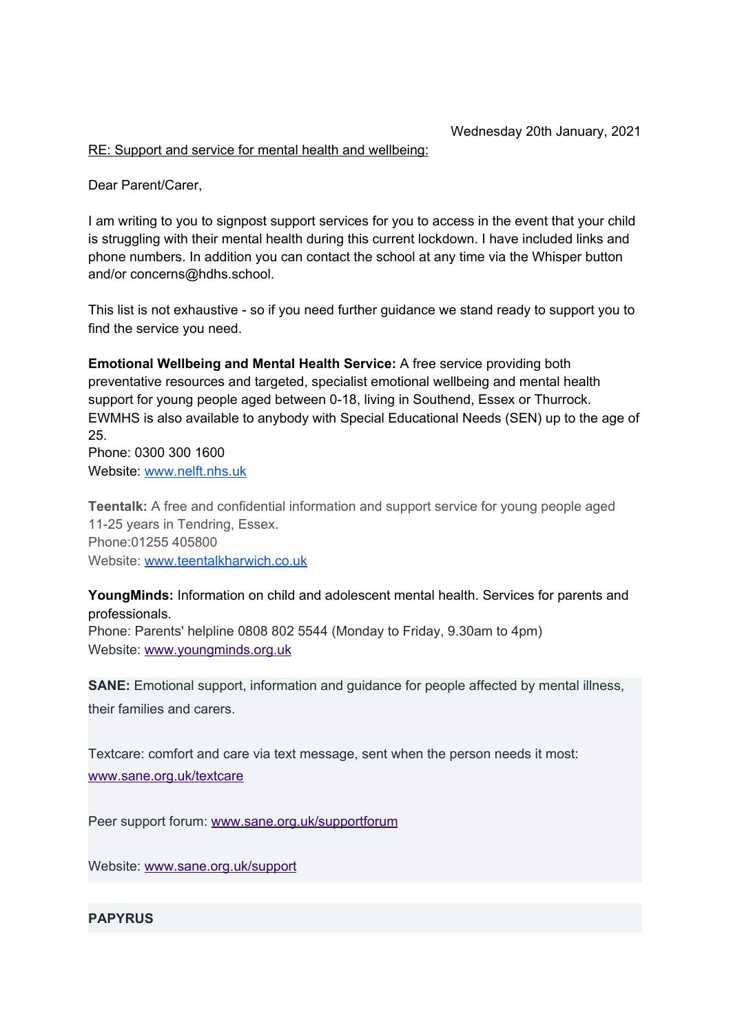#### RE: Support and service for mental health and wellbeing:

Dear Parent/Carer,

I am writing to you to signpost support services for you to access in the event that your child is struggling with their mental health during this current lockdown. I have included links and phone numbers. In addition you can contact the school at any time via the Whisper button and/or concerns@hdhs.school.

This list is not exhaustive - so if you need further guidance we stand ready to support you to find the service you need.

**Emotional Wellbeing and Mental Health Service:** A free service providing both preventative resources and targeted, specialist emotional wellbeing and mental health support for young people aged between 0-18, living in Southend, Essex or Thurrock. EWMHS is also available to anybody with Special Educational Needs (SEN) up to the age of 25. Phone: 0300 300 1600

Website: [www.nelft.nhs.uk](http://www.nelft.nhs.uk/)

**Teentalk:** A free and confidential information and support service for young people aged 11-25 years in Tendring, Essex. Phone:01255 405800 Website: [www.teentalkharwich.co.uk](http://www.teentalkharwich.co.uk/)

**YoungMinds:** Information on child and adolescent mental health. Services for parents and professionals.

Phone: Parents' helpline 0808 802 5544 (Monday to Friday, 9.30am to 4pm) Website: [www.youngminds.org.uk](http://www.youngminds.org.uk/)

**SANE:** Emotional support, information and guidance for people affected by mental illness, their families and carers.

Textcare: comfort and care via text message, sent when the person needs it most: [www.sane.org.uk/textcare](http://www.sane.org.uk/textcare)

Peer support forum: [www.sane.org.uk/supportforum](http://www.sane.org.uk/supportforum)

Website: [www.sane.org.uk/support](http://www.sane.org.uk/support)

## **PAPYRUS**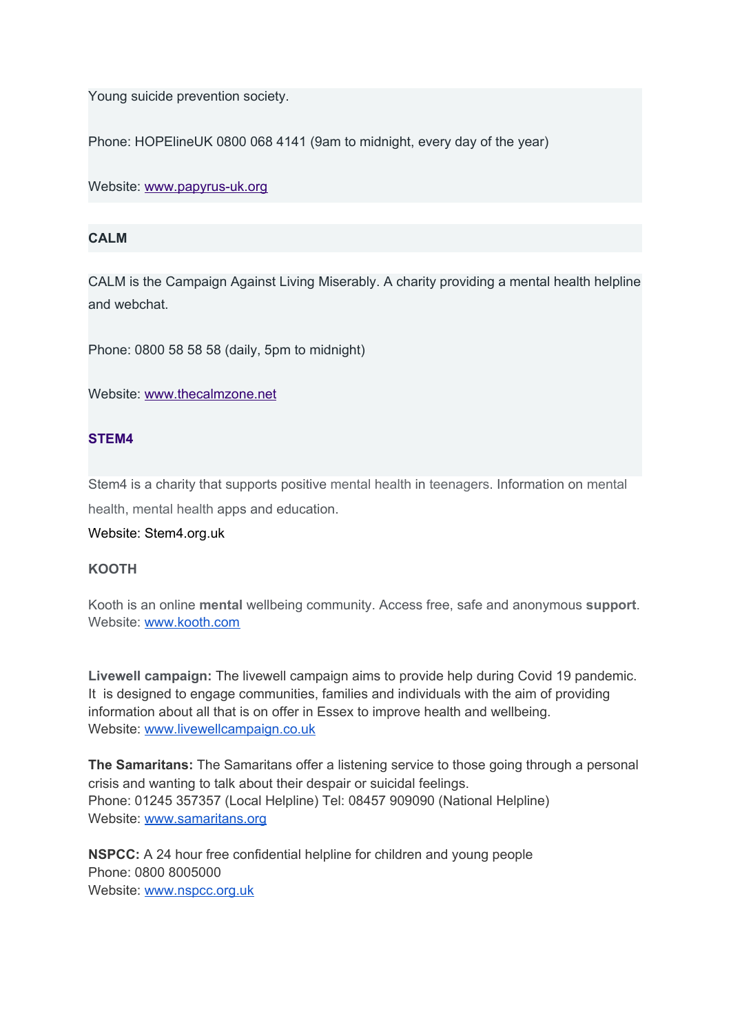Young suicide prevention society.

Phone: HOPElineUK 0800 068 4141 (9am to midnight, every day of the year)

Website: [www.papyrus-uk.org](http://www.papyrus-uk.org/)

## **CALM**

CALM is the Campaign Against Living Miserably. A charity providing a mental health helpline and webchat.

Phone: 0800 58 58 58 (daily, 5pm to midnight)

Website: [www.thecalmzone.net](http://www.thecalmzone.net/)

# **STEM4**

Stem4 is a charity that supports positive mental health in teenagers. Information on mental health, mental health apps and education.

### Website: Stem4.org.uk

### **KOOTH**

Kooth is an online **mental** wellbeing community. Access free, safe and anonymous **support**. Website: [www.kooth.com](http://www.kooth.com/)

**Livewell campaign:** The livewell campaign aims to provide help during Covid 19 pandemic. It is designed to engage communities, families and individuals with the aim of providing information about all that is on offer in Essex to improve health and wellbeing. Website: [www.livewellcampaign.co.uk](http://www.livewellcampaign.co.uk/)

**The Samaritans:** The Samaritans offer a listening service to those going through a personal crisis and wanting to talk about their despair or suicidal feelings. Phone: 01245 357357 (Local Helpline) Tel: 08457 909090 (National Helpline) Website: [www.samaritans.org](http://www.samaritans.org/)

**NSPCC:** A 24 hour free confidential helpline for children and young people Phone: 0800 8005000 Website: [www.nspcc.org.uk](http://www.nspcc.org.uk/)